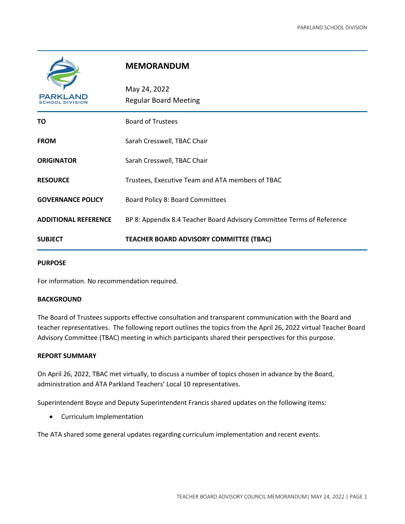| <b>PARKLAND</b> |
|-----------------|

## **MEMORANDUM**

| <b>PARKLAND</b><br>SCHOOL DIVISION | May 24, 2022<br><b>Regular Board Meeting</b>                           |
|------------------------------------|------------------------------------------------------------------------|
| TO                                 | <b>Board of Trustees</b>                                               |
| <b>FROM</b>                        | Sarah Cresswell, TBAC Chair                                            |
| <b>ORIGINATOR</b>                  | Sarah Cresswell, TBAC Chair                                            |
| <b>RESOURCE</b>                    | Trustees, Executive Team and ATA members of TBAC                       |
| <b>GOVERNANCE POLICY</b>           | Board Policy 8: Board Committees                                       |
| <b>ADDITIONAL REFERENCE</b>        | BP 8: Appendix 8.4 Teacher Board Advisory Committee Terms of Reference |
| <b>SUBJECT</b>                     | <b>TEACHER BOARD ADVISORY COMMITTEE (TBAC)</b>                         |

## **PURPOSE**

For information. No recommendation required.

## **BACKGROUND**

The Board of Trustees supports effective consultation and transparent communication with the Board and teacher representatives. The following report outlines the topics from the April 26, 2022 virtual Teacher Board Advisory Committee (TBAC) meeting in which participants shared their perspectives for this purpose.

## **REPORT SUMMARY**

On April 26, 2022, TBAC met virtually, to discuss a number of topics chosen in advance by the Board, administration and ATA Parkland Teachers' Local 10 representatives.

Superintendent Boyce and Deputy Superintendent Francis shared updates on the following items:

• Curriculum Implementation

The ATA shared some general updates regarding curriculum implementation and recent events.